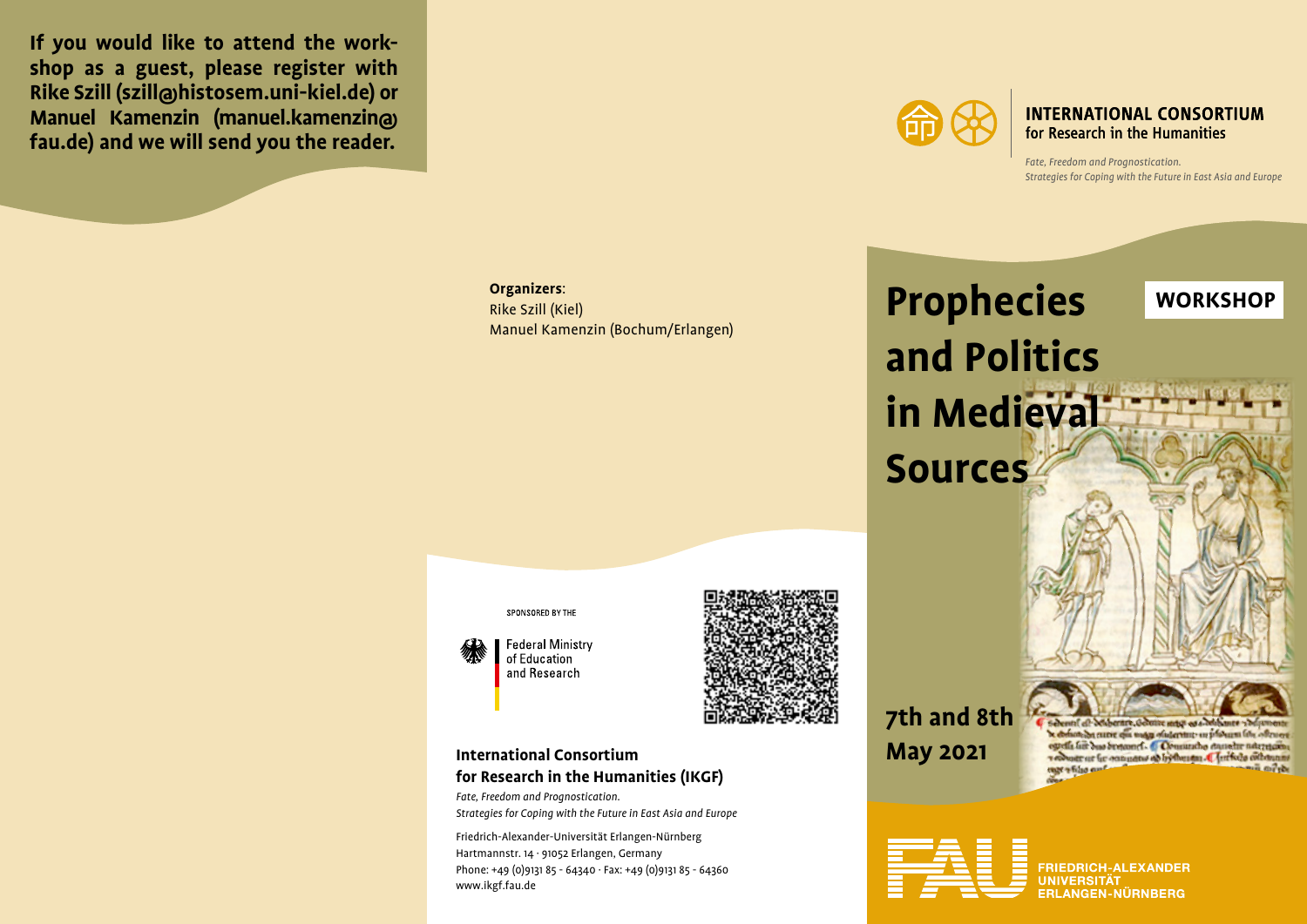**If you would like to attend the workshop as a guest, please register with Rike Szill (szill@histosem.uni-kiel.de) or Manuel Kamenzin (manuel.kamenzin@ fau.de) and we will send you the reader.**



**INTERNATIONAL CONSORTIUM** for Research in the Humanities

*Fate, Freedom and Prognostication. Strategies for Coping with the Future in East Asia and Europe*

**Organizers**:

Rike Szill (Kiel) Manuel Kamenzin (Bochum/Erlangen)





**Federal Ministry** of Education and Research



# **International Consortium for Research in the Humanities (IKGF)**

*Fate, Freedom and Prognostication. Strategies for Coping with the Future in East Asia and Europe*

Friedrich-Alexander-Universität Erlangen-Nürnberg Hartmannstr. 14 · 91052 Erlangen, Germany Phone: +49 (0)9131 85 - 64340 · Fax: +49 (0)9131 85 - 64360 www.ikgf.fau.de

**7th and 8th May 2021**

on bot curre qui una a ofuternur un phonum feb. ogrelle lier dus dertonef. Commandio consolte natretarin a countr ur fir commence ad hythmatus. I Arrivale cothinnue nac wfilia conf